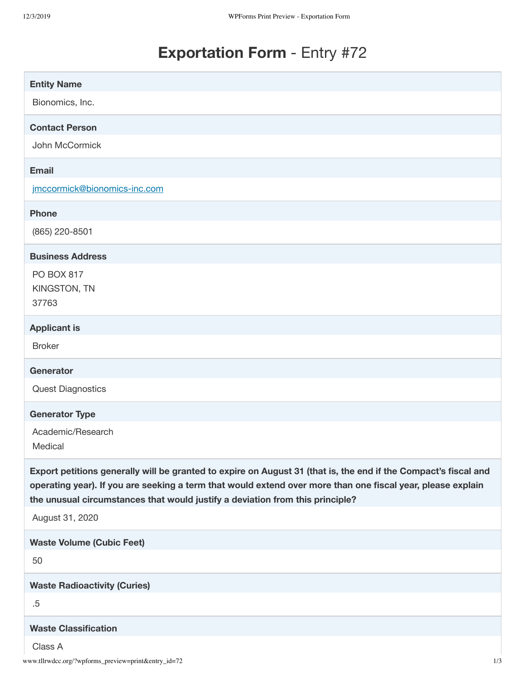# **Exportation Form** - Entry #72

| <b>Entity Name</b>                                                                                                                                                                                                                                                                                              |
|-----------------------------------------------------------------------------------------------------------------------------------------------------------------------------------------------------------------------------------------------------------------------------------------------------------------|
| Bionomics, Inc.                                                                                                                                                                                                                                                                                                 |
| <b>Contact Person</b>                                                                                                                                                                                                                                                                                           |
| John McCormick                                                                                                                                                                                                                                                                                                  |
| <b>Email</b>                                                                                                                                                                                                                                                                                                    |
| jmccormick@bionomics-inc.com                                                                                                                                                                                                                                                                                    |
| <b>Phone</b>                                                                                                                                                                                                                                                                                                    |
| (865) 220-8501                                                                                                                                                                                                                                                                                                  |
| <b>Business Address</b>                                                                                                                                                                                                                                                                                         |
| <b>PO BOX 817</b>                                                                                                                                                                                                                                                                                               |
| KINGSTON, TN<br>37763                                                                                                                                                                                                                                                                                           |
| <b>Applicant is</b>                                                                                                                                                                                                                                                                                             |
| <b>Broker</b>                                                                                                                                                                                                                                                                                                   |
| Generator                                                                                                                                                                                                                                                                                                       |
| <b>Quest Diagnostics</b>                                                                                                                                                                                                                                                                                        |
| <b>Generator Type</b>                                                                                                                                                                                                                                                                                           |
| Academic/Research<br>Medical                                                                                                                                                                                                                                                                                    |
| Export petitions generally will be granted to expire on August 31 (that is, the end if the Compact's fiscal and<br>operating year). If you are seeking a term that would extend over more than one fiscal year, please explain<br>the unusual circumstances that would justify a deviation from this principle? |
| August 31, 2020                                                                                                                                                                                                                                                                                                 |
| <b>Waste Volume (Cubic Feet)</b>                                                                                                                                                                                                                                                                                |
| 50                                                                                                                                                                                                                                                                                                              |
| <b>Waste Radioactivity (Curies)</b>                                                                                                                                                                                                                                                                             |
| $.5\,$                                                                                                                                                                                                                                                                                                          |
| <b>Waste Classification</b>                                                                                                                                                                                                                                                                                     |
| Class A<br>www.tllrwdcc.org/?wpforms_preview=print&entry_id=72<br>1/3                                                                                                                                                                                                                                           |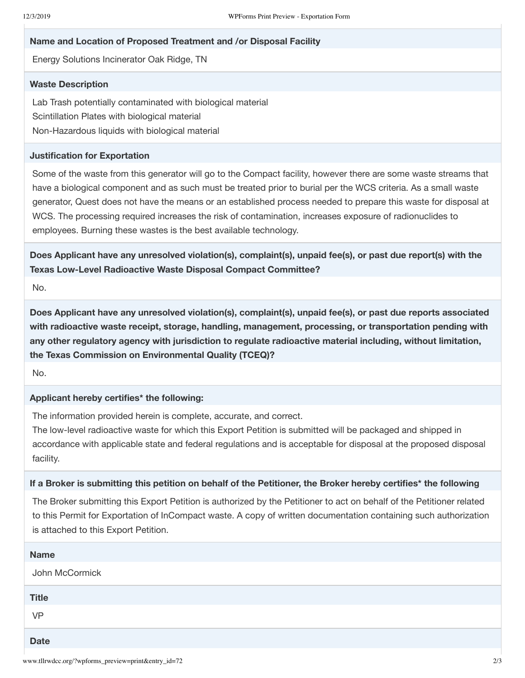### **Name and Location of Proposed Treatment and /or Disposal Facility**

Energy Solutions Incinerator Oak Ridge, TN

## **Waste Description**

Lab Trash potentially contaminated with biological material Scintillation Plates with biological material Non-Hazardous liquids with biological material

### **Justification for Exportation**

Some of the waste from this generator will go to the Compact facility, however there are some waste streams that have a biological component and as such must be treated prior to burial per the WCS criteria. As a small waste generator, Quest does not have the means or an established process needed to prepare this waste for disposal at WCS. The processing required increases the risk of contamination, increases exposure of radionuclides to employees. Burning these wastes is the best available technology.

**Does Applicant have any unresolved violation(s), complaint(s), unpaid fee(s), or past due report(s) with the Texas Low-Level Radioactive Waste Disposal Compact Committee?**

No.

**Does Applicant have any unresolved violation(s), complaint(s), unpaid fee(s), or past due reports associated with radioactive waste receipt, storage, handling, management, processing, or transportation pending with any other regulatory agency with jurisdiction to regulate radioactive material including, without limitation, the Texas Commission on Environmental Quality (TCEQ)?**

No.

### **Applicant hereby certifies\* the following:**

The information provided herein is complete, accurate, and correct.

The low-level radioactive waste for which this Export Petition is submitted will be packaged and shipped in accordance with applicable state and federal regulations and is acceptable for disposal at the proposed disposal facility.

#### If a Broker is submitting this petition on behalf of the Petitioner, the Broker hereby certifies\* the following

The Broker submitting this Export Petition is authorized by the Petitioner to act on behalf of the Petitioner related to this Permit for Exportation of InCompact waste. A copy of written documentation containing such authorization is attached to this Export Petition.

| <b>Name</b>    |
|----------------|
| John McCormick |
| <b>Title</b>   |
| VP             |
| <b>Date</b>    |